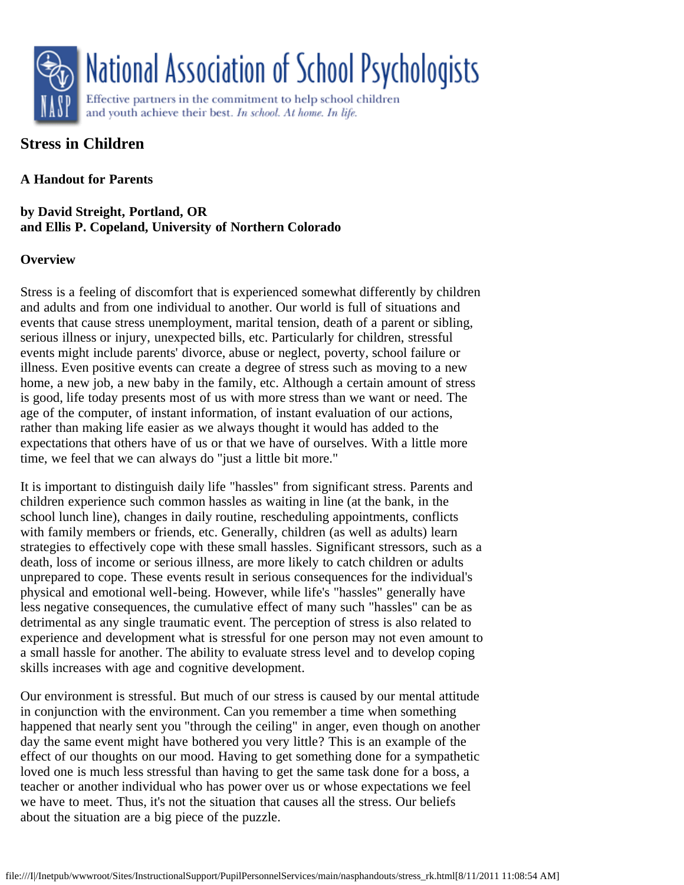

# **Stress in Children**

# **A Handout for Parents**

**by David Streight, Portland, OR and Ellis P. Copeland, University of Northern Colorado**

# **Overview**

Stress is a feeling of discomfort that is experienced somewhat differently by children and adults and from one individual to another. Our world is full of situations and events that cause stress unemployment, marital tension, death of a parent or sibling, serious illness or injury, unexpected bills, etc. Particularly for children, stressful events might include parents' divorce, abuse or neglect, poverty, school failure or illness. Even positive events can create a degree of stress such as moving to a new home, a new job, a new baby in the family, etc. Although a certain amount of stress is good, life today presents most of us with more stress than we want or need. The age of the computer, of instant information, of instant evaluation of our actions, rather than making life easier as we always thought it would has added to the expectations that others have of us or that we have of ourselves. With a little more time, we feel that we can always do "just a little bit more."

It is important to distinguish daily life "hassles" from significant stress. Parents and children experience such common hassles as waiting in line (at the bank, in the school lunch line), changes in daily routine, rescheduling appointments, conflicts with family members or friends, etc. Generally, children (as well as adults) learn strategies to effectively cope with these small hassles. Significant stressors, such as a death, loss of income or serious illness, are more likely to catch children or adults unprepared to cope. These events result in serious consequences for the individual's physical and emotional well-being. However, while life's "hassles" generally have less negative consequences, the cumulative effect of many such "hassles" can be as detrimental as any single traumatic event. The perception of stress is also related to experience and development what is stressful for one person may not even amount to a small hassle for another. The ability to evaluate stress level and to develop coping skills increases with age and cognitive development.

Our environment is stressful. But much of our stress is caused by our mental attitude in conjunction with the environment. Can you remember a time when something happened that nearly sent you "through the ceiling" in anger, even though on another day the same event might have bothered you very little? This is an example of the effect of our thoughts on our mood. Having to get something done for a sympathetic loved one is much less stressful than having to get the same task done for a boss, a teacher or another individual who has power over us or whose expectations we feel we have to meet. Thus, it's not the situation that causes all the stress. Our beliefs about the situation are a big piece of the puzzle.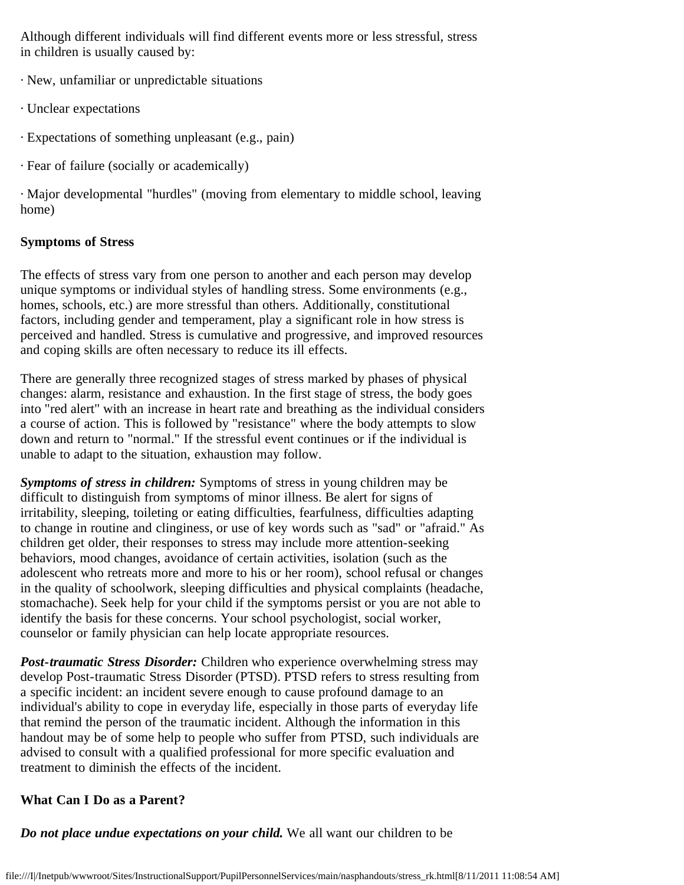Although different individuals will find different events more or less stressful, stress in children is usually caused by:

- · New, unfamiliar or unpredictable situations
- · Unclear expectations
- · Expectations of something unpleasant (e.g., pain)
- · Fear of failure (socially or academically)

· Major developmental "hurdles" (moving from elementary to middle school, leaving home)

## **Symptoms of Stress**

The effects of stress vary from one person to another and each person may develop unique symptoms or individual styles of handling stress. Some environments (e.g., homes, schools, etc.) are more stressful than others. Additionally, constitutional factors, including gender and temperament, play a significant role in how stress is perceived and handled. Stress is cumulative and progressive, and improved resources and coping skills are often necessary to reduce its ill effects.

There are generally three recognized stages of stress marked by phases of physical changes: alarm, resistance and exhaustion. In the first stage of stress, the body goes into "red alert" with an increase in heart rate and breathing as the individual considers a course of action. This is followed by "resistance" where the body attempts to slow down and return to "normal." If the stressful event continues or if the individual is unable to adapt to the situation, exhaustion may follow.

*Symptoms of stress in children:* Symptoms of stress in young children may be difficult to distinguish from symptoms of minor illness. Be alert for signs of irritability, sleeping, toileting or eating difficulties, fearfulness, difficulties adapting to change in routine and clinginess, or use of key words such as "sad" or "afraid." As children get older, their responses to stress may include more attention-seeking behaviors, mood changes, avoidance of certain activities, isolation (such as the adolescent who retreats more and more to his or her room), school refusal or changes in the quality of schoolwork, sleeping difficulties and physical complaints (headache, stomachache). Seek help for your child if the symptoms persist or you are not able to identify the basis for these concerns. Your school psychologist, social worker, counselor or family physician can help locate appropriate resources.

*Post-traumatic Stress Disorder:* Children who experience overwhelming stress may develop Post-traumatic Stress Disorder (PTSD). PTSD refers to stress resulting from a specific incident: an incident severe enough to cause profound damage to an individual's ability to cope in everyday life, especially in those parts of everyday life that remind the person of the traumatic incident. Although the information in this handout may be of some help to people who suffer from PTSD, such individuals are advised to consult with a qualified professional for more specific evaluation and treatment to diminish the effects of the incident.

# **What Can I Do as a Parent?**

*Do not place undue expectations on your child.* We all want our children to be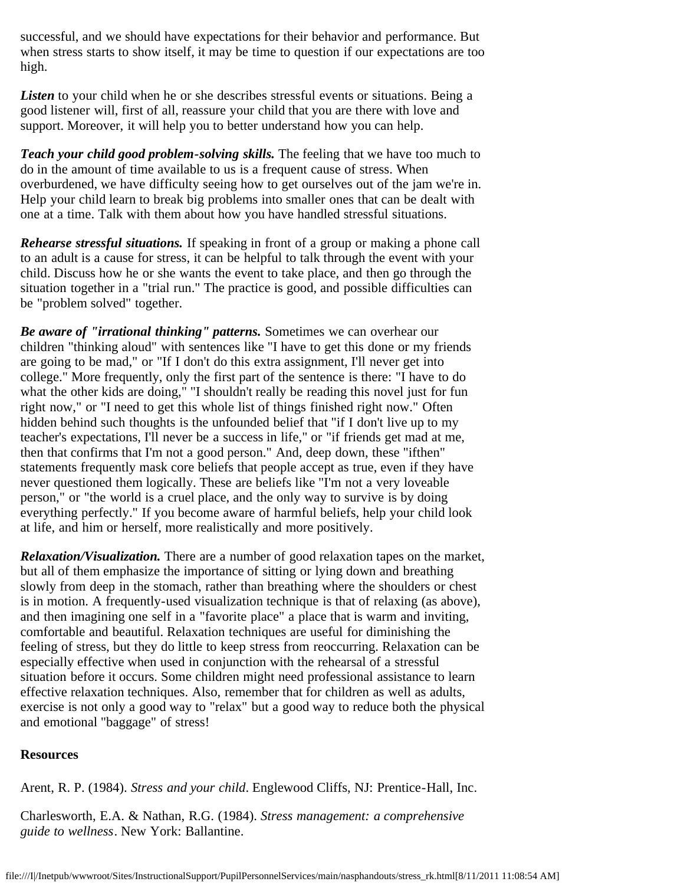successful, and we should have expectations for their behavior and performance. But when stress starts to show itself, it may be time to question if our expectations are too high.

*Listen* to your child when he or she describes stressful events or situations. Being a good listener will, first of all, reassure your child that you are there with love and support. Moreover, it will help you to better understand how you can help.

*Teach your child good problem-solving skills.* The feeling that we have too much to do in the amount of time available to us is a frequent cause of stress. When overburdened, we have difficulty seeing how to get ourselves out of the jam we're in. Help your child learn to break big problems into smaller ones that can be dealt with one at a time. Talk with them about how you have handled stressful situations.

*Rehearse stressful situations.* If speaking in front of a group or making a phone call to an adult is a cause for stress, it can be helpful to talk through the event with your child. Discuss how he or she wants the event to take place, and then go through the situation together in a "trial run." The practice is good, and possible difficulties can be "problem solved" together.

*Be aware of "irrational thinking" patterns.* Sometimes we can overhear our children "thinking aloud" with sentences like "I have to get this done or my friends are going to be mad," or "If I don't do this extra assignment, I'll never get into college." More frequently, only the first part of the sentence is there: "I have to do what the other kids are doing," "I shouldn't really be reading this novel just for fun right now," or "I need to get this whole list of things finished right now." Often hidden behind such thoughts is the unfounded belief that "if I don't live up to my teacher's expectations, I'll never be a success in life," or "if friends get mad at me, then that confirms that I'm not a good person." And, deep down, these "ifthen" statements frequently mask core beliefs that people accept as true, even if they have never questioned them logically. These are beliefs like "I'm not a very loveable person," or "the world is a cruel place, and the only way to survive is by doing everything perfectly." If you become aware of harmful beliefs, help your child look at life, and him or herself, more realistically and more positively.

*Relaxation/Visualization.* There are a number of good relaxation tapes on the market, but all of them emphasize the importance of sitting or lying down and breathing slowly from deep in the stomach, rather than breathing where the shoulders or chest is in motion. A frequently-used visualization technique is that of relaxing (as above), and then imagining one self in a "favorite place" a place that is warm and inviting, comfortable and beautiful. Relaxation techniques are useful for diminishing the feeling of stress, but they do little to keep stress from reoccurring. Relaxation can be especially effective when used in conjunction with the rehearsal of a stressful situation before it occurs. Some children might need professional assistance to learn effective relaxation techniques. Also, remember that for children as well as adults, exercise is not only a good way to "relax" but a good way to reduce both the physical and emotional "baggage" of stress!

### **Resources**

Arent, R. P. (1984). *Stress and your child*. Englewood Cliffs, NJ: Prentice-Hall, Inc.

Charlesworth, E.A. & Nathan, R.G. (1984). *Stress management: a comprehensive guide to wellness*. New York: Ballantine.